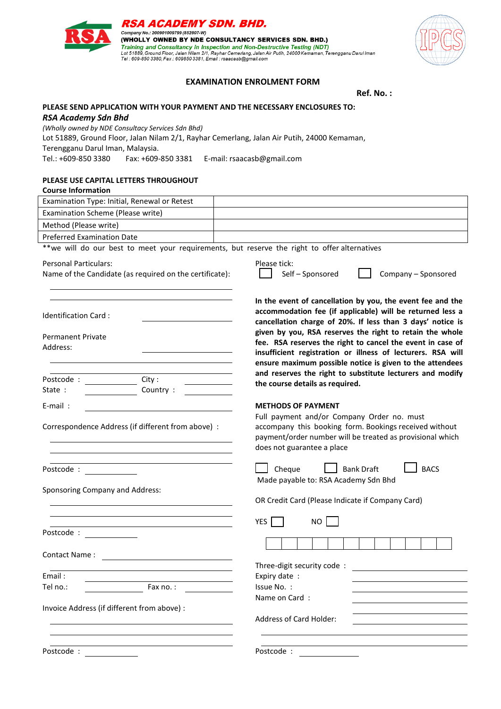| Examination Type: Initial, Renewal or Retest                                                 |                                                                                                                                                                                                                                                   |
|----------------------------------------------------------------------------------------------|---------------------------------------------------------------------------------------------------------------------------------------------------------------------------------------------------------------------------------------------------|
| Examination Scheme (Please write)                                                            |                                                                                                                                                                                                                                                   |
| Method (Please write)                                                                        |                                                                                                                                                                                                                                                   |
| <b>Preferred Examination Date</b>                                                            |                                                                                                                                                                                                                                                   |
| **we will do our best to meet your requirements, but reserve the right to offer alternatives |                                                                                                                                                                                                                                                   |
| <b>Personal Particulars:</b><br>Name of the Candidate (as required on the certificate):      | Please tick:<br>Self-Sponsored<br>Company - Sponsored                                                                                                                                                                                             |
| Identification Card:                                                                         | In the event of cancellation by you, the event fee and the<br>accommodation fee (if applicable) will be returned less a<br>cancellation charge of 20%. If less than 3 days' notice is<br>given by you, RSA reserves the right to retain the whole |
| <b>Permanent Private</b>                                                                     | fee. RSA reserves the right to cancel the event in case of                                                                                                                                                                                        |
| Address:                                                                                     | insufficient registration or illness of lecturers. RSA will                                                                                                                                                                                       |
|                                                                                              | ensure maximum possible notice is given to the attendees                                                                                                                                                                                          |
| Postcode :                                                                                   | and reserves the right to substitute lecturers and modify                                                                                                                                                                                         |
| City:<br>State:<br>Country:                                                                  | the course details as required.                                                                                                                                                                                                                   |
|                                                                                              |                                                                                                                                                                                                                                                   |
| $E$ -mail:                                                                                   | <b>METHODS OF PAYMENT</b>                                                                                                                                                                                                                         |
| Correspondence Address (if different from above) :                                           | Full payment and/or Company Order no. must<br>accompany this booking form. Bookings received without<br>payment/order number will be treated as provisional which<br>does not guarantee a place                                                   |
| Postcode :                                                                                   | <b>BACS</b><br>Cheque<br><b>Bank Draft</b><br>Made payable to: RSA Academy Sdn Bhd                                                                                                                                                                |
| Sponsoring Company and Address:                                                              |                                                                                                                                                                                                                                                   |
|                                                                                              | OR Credit Card (Please Indicate if Company Card)                                                                                                                                                                                                  |
|                                                                                              |                                                                                                                                                                                                                                                   |
|                                                                                              | <b>YES</b><br><b>NO</b>                                                                                                                                                                                                                           |
| Postcode:                                                                                    |                                                                                                                                                                                                                                                   |
| Contact Name:                                                                                |                                                                                                                                                                                                                                                   |
|                                                                                              | Three-digit security code:                                                                                                                                                                                                                        |
| Email:                                                                                       | Expiry date:                                                                                                                                                                                                                                      |
| Tel no.:<br>Fax $no.:$                                                                       | Issue No. :                                                                                                                                                                                                                                       |
|                                                                                              | Name on Card:                                                                                                                                                                                                                                     |
| Invoice Address (if different from above) :                                                  |                                                                                                                                                                                                                                                   |
|                                                                                              | Address of Card Holder:                                                                                                                                                                                                                           |
|                                                                                              |                                                                                                                                                                                                                                                   |
|                                                                                              |                                                                                                                                                                                                                                                   |
| Postcode :                                                                                   | Postcode :                                                                                                                                                                                                                                        |

*(Wholly owned by NDE Consultacy Services Sdn Bhd)*

# Tel.: +609-850 3380 Fax: +609-850 3381 E-mail: rsaacasb@gmail.com

## **PLEASE USE CAPITAL LETTERS THROUGHOUT**

| . LLAJL OJL CAI IIAL LLI ILIV IIIIVO GIIO O  |  |
|----------------------------------------------|--|
| <b>Course Information</b>                    |  |
| Examination Type: Initial, Renewal or Retest |  |
| Examination Scheme (Please write)            |  |
| Method (Please write)                        |  |
| Preferred Examination Date                   |  |

## **EXAMINATION ENROLMENT FORM**

 **Ref. No. :**



**PLEASE SEND APPLICATION WITH YOUR PAYMENT AND THE NECESSARY ENCLOSURES TO:**

Lot 51889, Ground Floor, Jalan Nilam 2/1, Rayhar Cemerlang, Jalan Air Putih, 24000 Kemaman,



*RSA Academy Sdn Bhd*

Terengganu Darul Iman, Malaysia.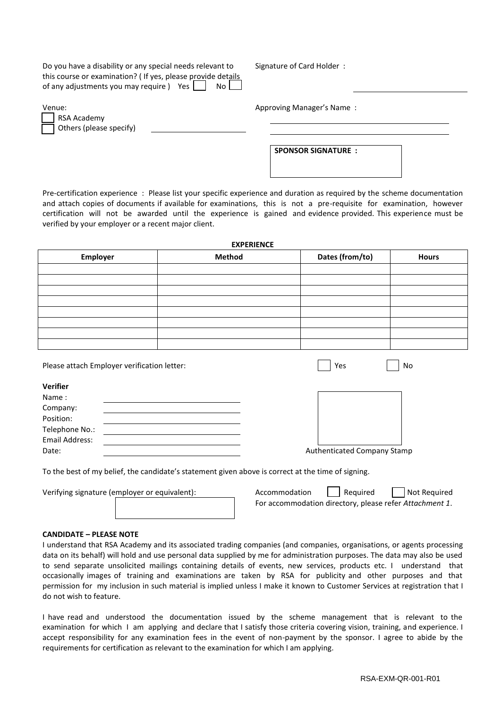| Do you have a disability or any special needs relevant to         | Signature of Card Holder: |
|-------------------------------------------------------------------|---------------------------|
| this course or examination? (If yes, please provide details       |                           |
| of any adjustments you may require ) Yes $\Box$<br>N <sub>0</sub> |                           |
|                                                                   |                           |
| Venue:                                                            | Approving Manager's Name: |
| RSA Academy                                                       |                           |

**SPONSOR SIGNATURE :**

Pre-certification experience : Please list your specific experience and duration as required by the scheme documentation and attach copies of documents if available for examinations, this is not a pre-requisite for examination, however certification will not be awarded until the experience is gained and evidence provided. This experience must be verified by your employer or a recent major client.

| <b>EXPERIENCE</b> |               |                 |              |  |
|-------------------|---------------|-----------------|--------------|--|
| Employer          | <b>Method</b> | Dates (from/to) | <b>Hours</b> |  |
|                   |               |                 |              |  |
|                   |               |                 |              |  |
|                   |               |                 |              |  |
|                   |               |                 |              |  |
|                   |               |                 |              |  |
|                   |               |                 |              |  |
|                   |               |                 |              |  |
|                   |               |                 |              |  |

Please attach Employer verification letter: Yes No. 2014 | Yes No. 2014 | No. 2014

Others (please specify)

**Verifier**

| Name:          |                             |
|----------------|-----------------------------|
| Company:       |                             |
| Position:      |                             |
| Telephone No.: |                             |
| Email Address: |                             |
| Date:          | Authenticated Company Stamp |

To the best of my belief, the candidate's statement given above is correct at the time of signing.

Verifying signature (employer or equivalent):

| Accommodation                                           | Required | Not Required |  |  |
|---------------------------------------------------------|----------|--------------|--|--|
| For accommodation directory, please refer Attachment 1. |          |              |  |  |

#### **CANDIDATE – PLEASE NOTE**

I understand that RSA Academy and its associated trading companies (and companies, organisations, or agents processing data on its behalf) will hold and use personal data supplied by me for administration purposes. The data may also be used to send separate unsolicited mailings containing details of events, new services, products etc. I understand that occasionally images of training and examinations are taken by RSA for publicity and other purposes and that permission for my inclusion in such material is implied unless I make it known to Customer Services at registration that I do not wish to feature.

I have read and understood the documentation issued by the scheme management that is relevant to the examination for which I am applying and declare that I satisfy those criteria covering vision, training, and experience. I accept responsibility for any examination fees in the event of non-payment by the sponsor. I agree to abide by the requirements for certification as relevant to the examination for which I am applying.